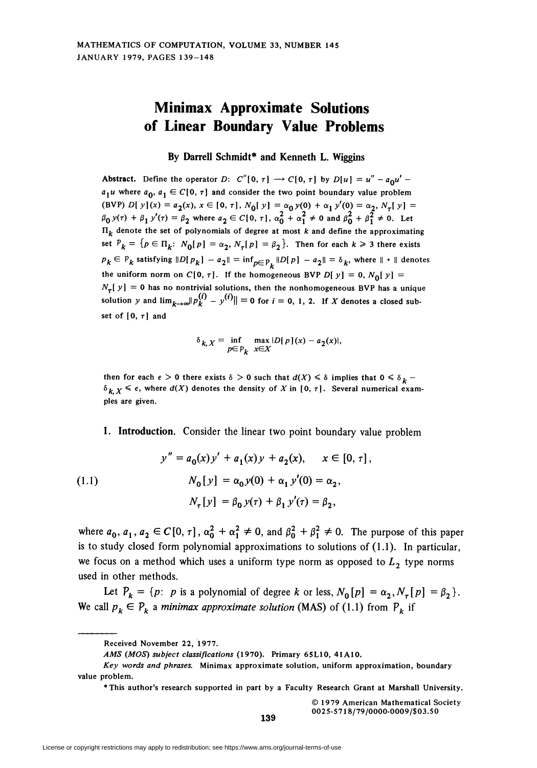## Minimax Approximate Solutions of Linear Boundary Value Problems

By Darrell Schmidt\* and Kenneth L. Wiggins

Abstract. Define the operator D: C"[0,  $\tau$ ]  $\rightarrow$  C[0,  $\tau$ ] by D[u] = u" - a<sub>0</sub>u'  $a_1u$  where  $a_0$ ,  $a_1 \in C[0, \tau]$  and consider the two point boundary value problem (BVP) D[  $y$ ](x) =  $a_2(x)$ ,  $x \in [0, \tau]$ ,  $N_0[y] = \alpha_0 y(0) + \alpha_1 y'(0) = \alpha_2$ ,  $N_\tau[y] =$  $\beta_0 y(\tau) + \beta_1 y'(\tau) = \beta_2$  where  $a_2 \in C[0, \tau]$ ,  $\alpha_0 + \alpha_1^2 \neq 0$  and  $\beta_0 + \beta_1^2 \neq 0$ . Let  $\Pi_k$  denote the set of polynomials of degree at most k and define the approximating set  $P_k = \{p \in \Pi_k: N_0[p] = \alpha_2, N_7[p] = \beta_2\}.$  Then for each  $k \geq 3$  there exists  $p_k \in P_k$  satisfying  $||D[p_k] - a_2|| = \inf_{p \in P_k} ||D[p] - a_2|| = \delta_k$ , where  $|| \cdot ||$  denotes the uniform norm on C[0,  $\tau$ ]. If the homogeneous BVP D[y] = 0, N<sub>0</sub>[y] =  $N_{\tau}[y] = 0$  has no nontrivial solutions, then the nonhomogeneous BVP has a unique solution y and  $\lim_{k\to\infty}$   $\|p_k^{(i)} - y^{(i)}\| = 0$  for  $i = 0, 1, 2$ . If X denotes a closed subset of  $[0, \tau]$  and

$$
\delta_{k,X} = \inf_{p \in P_k} \max_{x \in X} |D[p](x) - a_2(x)|,
$$

then for each  $\epsilon > 0$  there exists  $\delta > 0$  such that  $d(X) \leq \delta$  implies that  $0 \leq \delta_k$  - $\delta_{k, X} \leq \epsilon$ , where  $d(X)$  denotes the density of X in [0,  $\tau$ ]. Several numerical examples are given.

1. Introduction. Consider the linear two point boundary value problem

(1.1)  
\n
$$
y'' = a_0(x)y' + a_1(x)y + a_2(x), \quad x \in [0, \tau],
$$
\n
$$
N_0[y] = \alpha_0 y(0) + \alpha_1 y'(0) = \alpha_2,
$$
\n
$$
N_{\tau}[y] = \beta_0 y(\tau) + \beta_1 y'(\tau) = \beta_2,
$$

where  $a_0, a_1, a_2 \in C[0, \tau]$ ,  $\alpha_0^2 + \alpha_1^2 \neq 0$ , and  $\beta_0^2 + \beta_1^2 \neq 0$ . The purpose of this paper is to study closed form polynomial approximations to solutions of (1.1). In particular, we focus on a method which uses a uniform type norm as opposed to  $L<sub>2</sub>$  type norms used in other methods.

Let  $P_k = \{p: p \text{ is a polynomial of degree } k \text{ or less, } N_0[p] = \alpha_2, N_{\tau}[p] = \beta_2 \}.$ We call  $p_k \in P_k$  a minimax approximate solution (MAS) of (1.1) from  $P_k$  if

Received November 22, 1977.

AMS (MOS) subject classifications (1970). Primary 65L10, 41A10.

Key words and phrases. Minimax approximate solution, uniform approximation, boundary value problem.

<sup>\*</sup> This author's research supported in part by a Faculty Research Grant at Marshall University.

<sup>© 1979</sup> American Mathematical Society 0025-5718/79/0000-0O09/\$03.50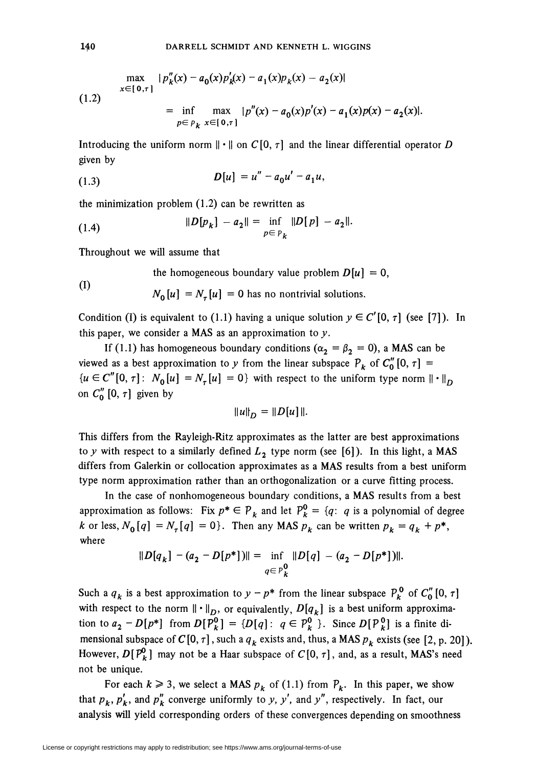$$
\max_{x \in [0,\tau]} |p''_k(x) - a_0(x)p'_k(x) - a_1(x)p_k(x) - a_2(x)|
$$
  
(1.2)  

$$
= \inf_{p \in p_k} \max_{x \in [0,\tau]} |p''(x) - a_0(x)p'(x) - a_1(x)p(x) - a_2(x)|.
$$

Introducing the uniform norm  $\|\cdot\|$  on  $C[0, \tau]$  and the linear differential operator D given by

$$
D[u] = u'' - a_0 u' - a_1 u,
$$

the minimization problem (1.2) can be rewritten as

(1.4) 
$$
||D[p_k] - a_2|| = \inf_{p \in P_k} ||D[p] - a_2||.
$$

Throughout we will assume that

the homogeneous boundary value problem 
$$
D[u] = 0
$$
,

(1) 
$$
N_0[u] = N_{\tau}[u] = 0
$$
 has no nontrivial solutions.

Condition (I) is equivalent to (1.1) having a unique solution  $y \in C'[0, \tau]$  (see [7]). In this paper, we consider a MAS as an approximation to  $y$ .

If (1.1) has homogeneous boundary conditions ( $\alpha_2 = \beta_2 = 0$ ), a MAS can be viewed as a best approximation to y from the linear subspace  $P_k$  of  $C''_0[0, \tau] =$  ${u \in C''[0, \tau]: N_0[u] = N_\tau[u] = 0}$  with respect to the uniform type norm  $\|\cdot\|_D$ on  $C''_0$  [0,  $\tau$ ] given by

$$
||u||_D = ||D[u]||.
$$

This differs from the Rayleigh-Ritz approximates as the latter are best approximations to y with respect to a similarly defined  $L_2$  type norm (see [6]). In this light, a MAS differs from Galerkin or collocation approximates as a MAS results from a best uniform type norm approximation rather than an orthogonalization or a curve fitting process.

In the case of nonhomogeneous boundary conditions, a MAS results from a best approximation as follows: Fix  $p^* \in P_k$  and let  $P_k^0 = \{q: q$  is a polynomial of degree k or less,  $N_0[q] = N_{\tau}[q] = 0$ . Then any MAS  $p_k$  can be written  $p_k = q_k + p^*$ , where

$$
||D[q_k] - (a_2 - D[p^*])|| = \inf_{q \in P_k^0} ||D[q] - (a_2 - D[p^*])||.
$$

Such a  $q_k$  is a best approximation to  $y - p^*$  from the linear subspace  $P_k^0$  of  $C_0''[0, \tau]$ with respect to the norm  $\|\cdot\|_D$ , or equivalently,  $D[q_k]$  is a best uniform approximation to  $a_2 - D[p^*]$  from  $D[P_k^0] = {D[q] : q \in P_k^0}$ . Since  $D[P_k^0]$  is a finite dimensional subspace of  $C[0, \tau]$ , such a  $q_k$  exists and, thus, a MAS  $p_k$  exists (see [2, p. 20]). However,  $D[P^0_k]$  may not be a Haar subspace of  $C[0, \tau]$ , and, as a result, MAS's need not be unique.

For each  $k \ge 3$ , we select a MAS  $p_k$  of (1.1) from  $P_k$ . In this paper, we show that  $p_k$ ,  $p'_k$ , and  $p''_k$  converge uniformly to y, y', and y'', respectively. In fact, our analysis will yield corresponding orders of these convergences depending on smoothness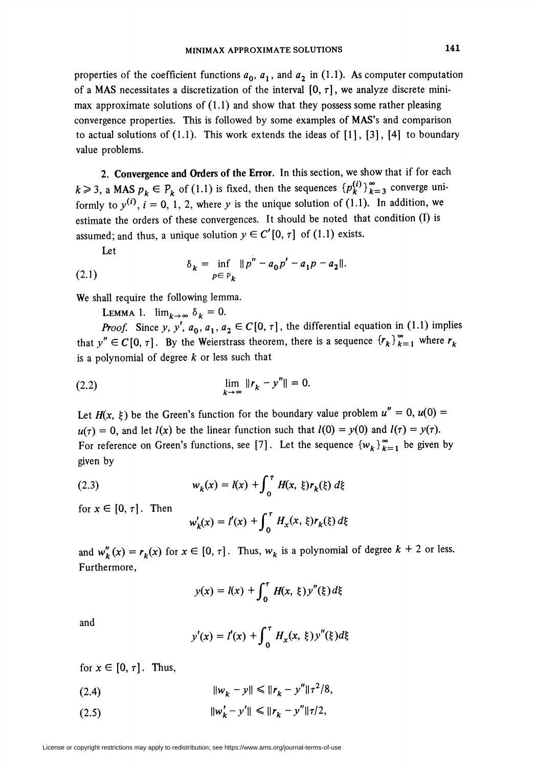properties of the coefficient functions  $a_0$ ,  $a_1$ , and  $a_2$  in (1.1). As computer computation of a MAS necessitates a discretization of the interval  $[0, \tau]$ , we analyze discrete minimax approximate solutions of  $(1.1)$  and show that they possess some rather pleasing convergence properties. This is followed by some examples of MAS's and comparison to actual solutions of  $(1.1)$ . This work extends the ideas of  $[1]$ ,  $[3]$ ,  $[4]$  to boundary value problems.

2. Convergence and Orders of the Error. In this section, we show that if for each  $k \ge 3$ , a MAS  $p_k \in P_k$  of (1.1) is fixed, then the sequences  ${p_k^{(i)}}_{k=3}^{\infty}$  converge uniformly to  $y^{(i)}$ ,  $i = 0, 1, 2$ , where y is the unique solution of (1.1). In addition, we estimate the orders of these convergences. It should be noted that condition (I) is assumed; and thus, a unique solution  $y \in C'[0, \tau]$  of (1.1) exists.

Let

(2.1) 
$$
\delta_k = \inf_{p \in P_k} ||p'' - a_0 p' - a_1 p - a_2||.
$$

We shall require the following lemma.

LEMMA 1.  $\lim_{k\to\infty} \delta_k = 0$ .

*Proof.* Since y, y',  $a_0$ ,  $a_1$ ,  $a_2 \in C[0, \tau]$ , the differential equation in (1.1) implies that  $y'' \in C[0, \tau]$ . By the Weierstrass theorem, there is a sequence  ${r_k}_{k=1}^{\infty}$  where  $r_k$ is a polynomial of degree  $k$  or less such that

(2.2) 
$$
\lim_{k \to \infty} ||r_k - y''|| = 0.
$$

Let  $H(x, \xi)$  be the Green's function for the boundary value problem  $u'' = 0$ ,  $u(0) =$  $u(\tau) = 0$ , and let  $l(x)$  be the linear function such that  $l(0) = y(0)$  and  $l(\tau) = y(\tau)$ . For reference on Green's functions, see [7]. Let the sequence  ${w_k}_{k=1}^{\infty}$  be given by given by

(2.3) 
$$
w_k(x) = l(x) + \int_0^{\tau} H(x, \xi) r_k(\xi) d\xi
$$

for  $x \in [0, \tau]$ . Then

$$
w'_{k}(x) = l'(x) + \int_0^{\tau} H_x(x, \xi) r_k(\xi) d\xi
$$

and  $w_k''(x) = r_k(x)$  for  $x \in [0, \tau]$ . Thus,  $w_k$  is a polynomial of degree  $k + 2$  or less. Furthermore,

$$
y(x) = l(x) + \int_0^{\tau} H(x, \xi) y''(\xi) d\xi
$$

and

$$
y'(x) = l'(x) + \int_0^{\tau} H_x(x, \xi) y''(\xi) d\xi
$$

for  $x \in [0, \tau]$ . Thus,

(2.4)  $\|w_k - y\| \le \|r_k - y''\| \tau^2/8,$ 

(2.5)  $\|w_k' - y'\| \le \|r_k - y''\|\tau/2$ ,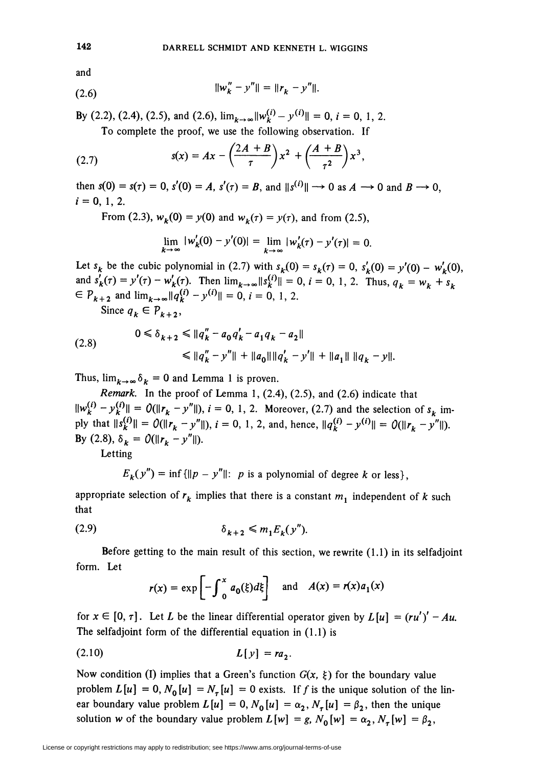and

$$
||w_k'' - y''|| = ||r_k - y''||.
$$

By (2.2), (2.4), (2.5), and (2.6),  $\lim_{k \to \infty} ||w_k^{(i)} - y^{(i)}|| = 0$ ,  $i = 0, 1, 2$ . To complete the proof, we use the following observation. If

(2.7) 
$$
s(x) = Ax - \left(\frac{2A+B}{\tau}\right)x^2 + \left(\frac{A+B}{\tau^2}\right)x^3,
$$

then  $s(0) = s(\tau) = 0$ ,  $s'(0) = A$ ,  $s'(\tau) = B$ , and  $||s^{(i)}|| \rightarrow 0$  as  $A \rightarrow 0$  and  $B \rightarrow 0$ ,  $i = 0, 1, 2.$ 

From (2.3),  $w_k(0) = y(0)$  and  $w_k(\tau) = y(\tau)$ , and from (2.5),

$$
\lim_{k \to \infty} |w'_k(0) - y'(0)| = \lim_{k \to \infty} |w'_k(\tau) - y'(\tau)| = 0.
$$

Let  $s_k$  be the cubic polynomial in (2.7) with  $s_k(0) = s_k(\tau) = 0$ ,  $s'_k(0) = y'(0) - w'_k(0)$ , and  $s'_k(\tau) = y'(\tau) - w'_k(\tau)$ . Then  $\lim_{k \to \infty} ||s_k^{(i)}|| = 0$ ,  $i = 0, 1, 2$ . Thus,  $q_k = w_k + s_k$  $\theta \in P_{k+2}$  and  $\lim_{k \to \infty} ||q_k^{(i)} - y^{(i)}|| = 0$ ,  $i = 0, 1, 2$ .

Since  $q_k \in P_{k+2}$ ,

$$
(2.8) \t 0 \le \delta_{k+2} \le ||q_k'' - a_0 q_k' - a_1 q_k - a_2||
$$
  
 
$$
\le ||q_k'' - y''|| + ||a_0|| ||q_k' - y'|| + ||a_1|| ||q_k - y||.
$$

Thus,  $\lim_{k\to\infty} \delta_k = 0$  and Lemma 1 is proven.

Remark. In the proof of Lemma 1,  $(2.4)$ ,  $(2.5)$ , and  $(2.6)$  indicate that  $||w_k^{(i)} - y_k^{(i)}|| = O(||r_k - y''||), i = 0, 1, 2$ . Moreover, (2.7) and the selection of  $s_k$  imply that  $||s_k^{(i)}|| = O(||r_k - y''||)$ ,  $i = 0, 1, 2$ , and, hence,  $||q_k^{(i)} - y^{(i)}|| = O(||r_k - y''||)$ . By (2.8),  $\delta_k = O(||r_k - y''||)$ .

Letting

 $E_k(y'') = \inf \{ ||p - y''|| : p \text{ is a polynomial of degree } k \text{ or less } \},\$ 

appropriate selection of  $r_k$  implies that there is a constant  $m_1$  independent of k such that

$$
\delta_{k+2} \leq m_1 E_k(y'').
$$

Before getting to the main result of this section, we rewrite (1.1) in its selfadjoint form. Let

$$
r(x) = \exp \left[-\int_0^x a_0(\xi) d\xi\right]
$$
 and  $A(x) = r(x)a_1(x)$ 

for  $x \in [0, \tau]$ . Let L be the linear differential operator given by  $L[u] = (ru')' - Au$ . The selfadjoint form of the differential equation in (1.1) is

$$
(2.10) \t\t\t L[y] = ra2
$$

Now condition (I) implies that a Green's function  $G(x, \xi)$  for the boundary value problem  $L[u] = 0$ ,  $N_0[u] = N_{\tau}[u] = 0$  exists. If f is the unique solution of the linear boundary value problem  $L[u] = 0$ ,  $N_0[u] = \alpha_2$ ,  $N_\tau[u] = \beta_2$ , then the unique solution w of the boundary value problem  $L[w] = g, N_0[w] = \alpha_2, N_\tau[w] = \beta_2$ ,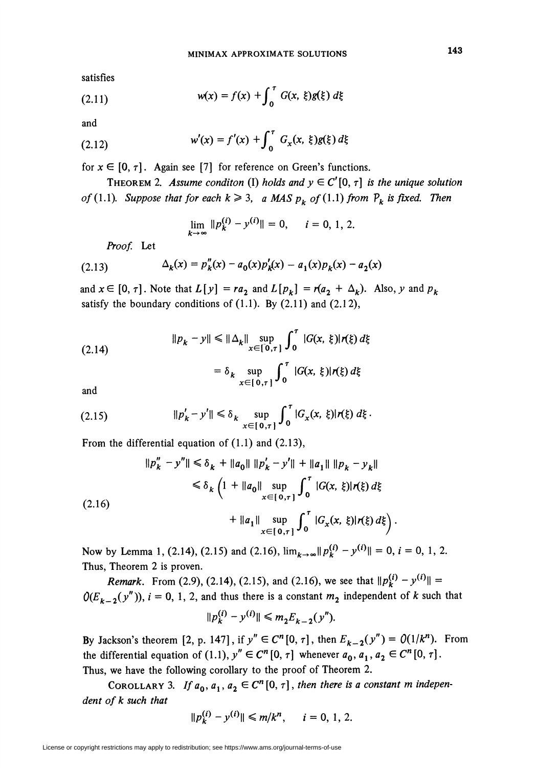satisfies

(2.11) 
$$
w(x) = f(x) + \int_0^{\tau} G(x, \xi)g(\xi) d\xi
$$

and

(2.12) 
$$
w'(x) = f'(x) + \int_0^{\tau} G_x(x, \xi) g(\xi) d\xi
$$

for  $x \in [0, \tau]$ . Again see [7] for reference on Green's functions.

THEOREM 2. Assume conditon (I) holds and  $y \in C'[0, \tau]$  is the unique solution of (1.1). Suppose that for each  $k \ge 3$ , a MAS  $p_k$  of (1.1) from  $P_k$  is fixed. Then

$$
\lim_{k\to\infty} \|p_k^{(i)} - y^{(i)}\| = 0, \quad i = 0, 1, 2.
$$

Proof. Let

(2.13) 
$$
\Delta_k(x) = p_k''(x) - a_0(x)p_k'(x) - a_1(x)p_k(x) - a_2(x)
$$

and  $x \in [0, \tau]$ . Note that  $L[y] = ra_2$  and  $L[p_k] = r(a_2 + \Delta_k)$ . Also, y and  $p_k$ satisfy the boundary conditions of  $(1.1)$ . By  $(2.11)$  and  $(2.12)$ ,

(2.14)  
\n
$$
||p_k - y|| \le ||\Delta_k|| \sup_{x \in [0,\tau]} \int_0^{\tau} |G(x,\,\xi)| r(\xi) d\xi
$$
\n
$$
= \delta_k \sup_{x \in [0,\tau]} \int_0^{\tau} |G(x,\,\xi)| r(\xi) d\xi
$$

and

(2.15) 
$$
||p'_{k} - y'|| \leq \delta_{k} \sup_{x \in [0,\tau]} \int_{0}^{\tau} |G_{x}(x,\xi)| r(\xi) d\xi.
$$

From the differential equation of (1.1) and (2.13),

$$
||p''_k - y''|| \le \delta_k + ||a_0|| ||p'_k - y'|| + ||a_1|| ||p_k - y_k||
$$
  
\n
$$
\le \delta_k \left(1 + ||a_0|| \sup_{x \in [0, \tau]} \int_0^{\tau} |G(x, \xi)| r(\xi) d\xi + ||a_1|| \sup_{x \in [0, \tau]} \int_0^{\tau} |G_x(x, \xi)| r(\xi) d\xi \right)
$$

Now by Lemma 1, (2.14), (2.15) and (2.16),  $\lim_{k\to\infty} ||p_k^{(i)} - y^{(i)}|| = 0$ ,  $i = 0, 1, 2$ . Thus, Theorem 2 is proven.

*Remark.* From (2.9), (2.14), (2.15), and (2.16), we see that  $\|p_k^{(i)} - y^{(i)}\|$  =  $O(E_{k-2}(y''))$ ,  $i = 0, 1, 2$ , and thus there is a constant  $m_2$  independent of k such that  $\|p_k^{(i)}-y^{(i)}\| \leq m_2E_{k-2}(y'').$ 

By Jackson's theorem [2, p. 147], if 
$$
y'' \in C^n[0, \tau]
$$
, then  $E_{k-2}(y'') = O(1/k^n)$ . From  
the differential equation of (1.1),  $y'' \in C^n[0, \tau]$  whenever  $a_0, a_1, a_2 \in C^n[0, \tau]$ .

Thus, we have the following corollary to the proof of Theorem 2.

COROLLARY 3. If  $a_0, a_1, a_2 \in C^n[0, \tau]$ , then there is a constant m independent of k such that

$$
||p_k^{(i)} - y^{(i)}|| \le m/k^n, \quad i = 0, 1, 2.
$$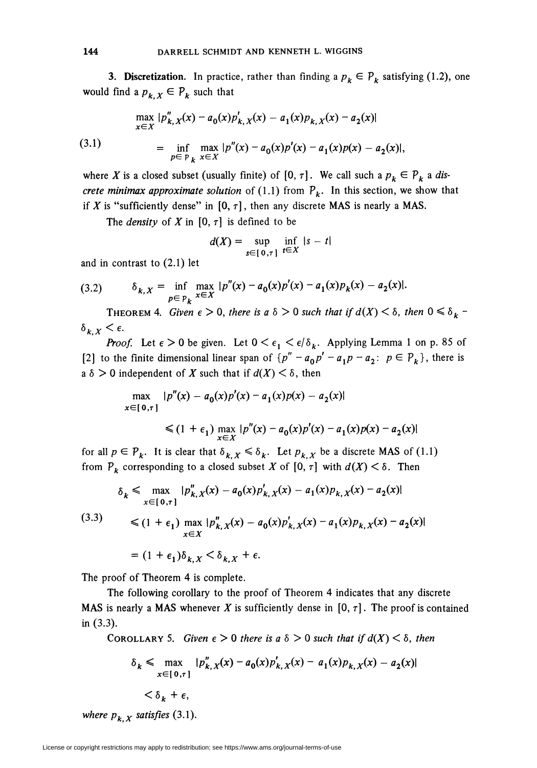**3. Discretization.** In practice, rather than finding a  $p_k \in P_k$  satisfying (1.2), one would find a  $p_{k,X} \in P_k$  such that

(3.1)  
\n
$$
\max_{x \in X} |p_{k,X}''(x) - a_0(x)p_{k,X}'(x) - a_1(x)p_{k,X}(x) - a_2(x)|
$$
\n
$$
= \inf_{p \in P_k} \max_{x \in X} |p''(x) - a_0(x)p'(x) - a_1(x)p(x) - a_2(x)|,
$$

where X is a closed subset (usually finite) of  $[0, \tau]$ . We call such a  $p_k \in P_k$  a discrete minimax approximate solution of (1.1) from  $P_k$ . In this section, we show that if X is "sufficiently dense" in  $[0, \tau]$ , then any discrete MAS is nearly a MAS.

The *density* of X in  $[0, \tau]$  is defined to be

$$
d(X) = \sup_{s \in [0,\tau]} \inf_{t \in X} |s - t|
$$

and in contrast to (2.1) let

(3.2) 
$$
\delta_{k,X} = \inf_{p \in P_k} \max_{x \in X} |p''(x) - a_0(x)p'(x) - a_1(x)p_k(x) - a_2(x)|.
$$

THEOREM 4. Given  $\epsilon > 0$ , there is a  $\delta > 0$  such that if  $d(X) < \delta$ , then  $0 \leq \delta_k$  - $\delta_{k,X}<\epsilon.$ 

**Proof.** Let  $\epsilon > 0$  be given. Let  $0 < \epsilon_1 < \epsilon/\delta_k$ . Applying Lemma 1 on p. 85 of [2] to the finite dimensional linear span of  ${p'' - a_0p' - a_1p - a_2: p \in P_k}$ , there is a  $\delta > 0$  independent of X such that if  $d(X) < \delta$ , then

$$
\max_{x \in [0,\tau]} |p''(x) - a_0(x)p'(x) - a_1(x)p(x) - a_2(x)|
$$
  
\$\leq (1 + \epsilon\_1) \max\_{x \in X} |p''(x) - a\_0(x)p'(x) - a\_1(x)p(x) - a\_2(x)|\$

for all  $p \in P_k$ . It is clear that  $\delta_{k,X} \le \delta_k$ . Let  $p_{k,X}$  be a discrete MAS of (1.1) from  $P_k$  corresponding to a closed subset X of [0,  $\tau$ ] with  $d(X) < \delta$ . Then

$$
\delta_k \le \max_{x \in [0,\tau]} |p_{k,X}''(x) - a_0(x)p_{k,X}'(x) - a_1(x)p_{k,X}(x) - a_2(x)|
$$
\n
$$
\le (1 + \epsilon_1) \max_{x \in X} |p_{k,X}''(x) - a_0(x)p_{k,X}'(x) - a_1(x)p_{k,X}(x) - a_2(x)|
$$
\n
$$
= (1 + \epsilon_1)\delta_{k,X} < \delta_{k,X} + \epsilon.
$$

The proof of Theorem 4 is complete.

The following corollary to the proof of Theorem 4 indicates that any discrete MAS is nearly a MAS whenever X is sufficiently dense in [0,  $\tau$ ]. The proof is contained in (3.3).

COROLLARY 5. Given  $\epsilon > 0$  there is a  $\delta > 0$  such that if  $d(X) < \delta$ , then

$$
\delta_k \le \max_{x \in [0,\tau]} |p''_{k,X}(x) - a_0(x)p'_{k,X}(x) - a_1(x)p_{k,X}(x) - a_2(x)|
$$
  

$$
< \delta_k + \epsilon,
$$

where  $p_{k, X}$  satisfies (3.1).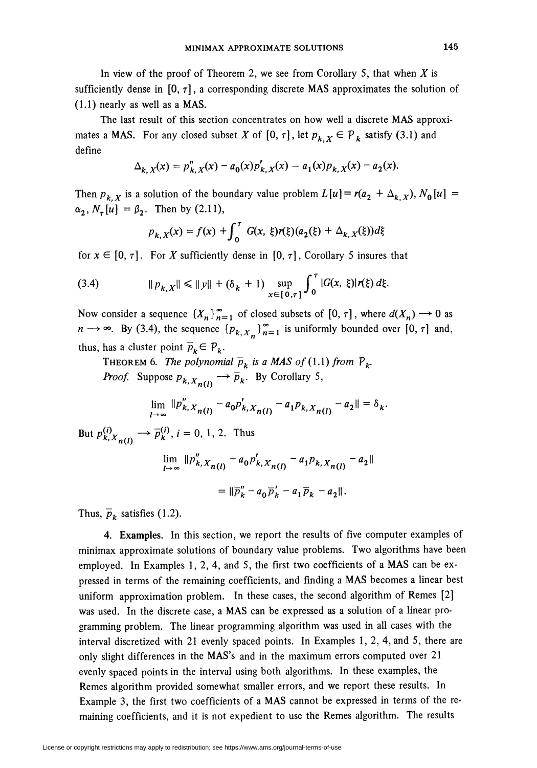In view of the proof of Theorem 2, we see from Corollary 5, that when  $X$  is sufficiently dense in  $[0, \tau]$ , a corresponding discrete MAS approximates the solution of (1.1) nearly as well as a MAS.

The last result of this section concentrates on how well a discrete MAS approximates a MAS. For any closed subset X of  $[0, \tau]$ , let  $p_{k, X} \in P_k$  satisfy (3.1) and define

$$
\Delta_{k, X}(x) = p_{k, X}''(x) - a_0(x) p_{k, X}'(x) - a_1(x) p_{k, X}(x) - a_2(x).
$$

Then  $p_{k, X}$  is a solution of the boundary value problem  $L[u] = r(a_2 + \Delta_{k, X}), N_0[u] =$  $\alpha_2, N_{\tau}[u] = \beta_2$ . Then by (2.11),

$$
p_{k,X}(x) = f(x) + \int_0^{\tau} G(x, \xi) r(\xi) (a_2(\xi) + \Delta_{k,X}(\xi)) d\xi
$$

for  $x \in [0, \tau]$ . For X sufficiently dense in  $[0, \tau]$ , Corollary 5 insures that

(3.4) 
$$
\|p_{k,X}\| \le \|y\| + (\delta_k + 1) \sup_{x \in [0,\tau]} \int_0^{\tau} |G(x,\,\xi)| r(\xi) d\xi
$$

Now consider a sequence  $\{X_n\}_{n=1}^{\infty}$  of closed subsets of  $[0, \tau]$ , where  $d(X_n) \to 0$  as  $n \rightarrow \infty$ . By (3.4), the sequence  $\{p_{k, X_n}\}_{n=1}^{\infty}$  is uniformly bounded over [0,  $\tau$ ] and, thus, has a cluster point  $\overline{p}_k \in P_k$ .

THEOREM 6. The polynomial  $\overline{p}_k$  is a MAS of (1.1) from  $P_k$ . *Proof.* Suppose  $p_{k, X_{n(l)}} \rightarrow \overline{p}_k$ . By Corollary 5,

$$
\lim_{l \to \infty} ||p''_{k,X_{n(l)}} - a_0 p'_{k,X_{n(l)}} - a_1 p_{k,X_{n(l)}} - a_2|| = \delta_k.
$$

But  $p_{k, X_{n(l)}}^{(i)} \longrightarrow \overline{p}_k^{(i)}$ ,  $i = 0, 1, 2$ . Thus

$$
\lim_{l \to \infty} ||p''_{k, X_{n(l)}} - a_0 p'_{k, X_{n(l)}} - a_1 p_{k, X_{n(l)}} - a_2||
$$
  
=  $||\overline{p}''_k - a_0 \overline{p}'_k - a_1 \overline{p}_k - a_2||.$ 

Thus,  $\overline{p}_k$  satisfies (1.2).

4. Examples. In this section, we report the results of five computer examples of minimax approximate solutions of boundary value problems. Two algorithms have been employed. In Examples 1, 2, 4, and 5, the first two coefficients of a MAS can be expressed in terms of the remaining coefficients, and finding a MAS becomes a linear best uniform approximation problem. In these cases, the second algorithm of Remes [2] was used. In the discrete case, a MAS can be expressed as a solution of a linear programming problem. The linear programming algorithm was used in all cases with the interval discretized with 21 evenly spaced points. In Examples 1, 2, 4, and 5, there are only slight differences in the MAS's and in the maximum errors computed over 21 evenly spaced points in the interval using both algorithms. In these examples, the Remes algorithm provided somewhat smaller errors, and we report these results. In Example 3, the first two coefficients of a MAS cannot be expressed in terms of the remaining coefficients, and it is not expedient to use the Remes algorithm. The results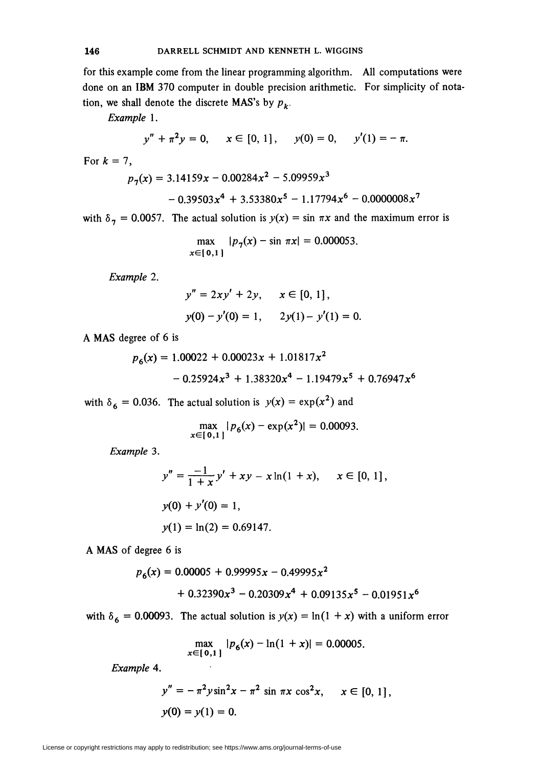for this example come from the linear programming algorithm. All computations were done on an IBM 370 computer in double precision arithmetic. For simplicity of notation, we shall denote the discrete MAS's by  $p_k$ .

Example 1.

$$
y'' + \pi^2 y = 0, \quad x \in [0, 1], \quad y(0) = 0, \quad y'(1) = -\pi
$$

For  $k = 7$ ,

 $p_7(x) = 3.14159x - 0.00284x^2 - 5.09959x^3$ 

$$
-0.39503x^{4} + 3.53380x^{5} - 1.17794x^{6} - 0.0000008x^{7}
$$

with  $\delta_7 = 0.0057$ . The actual solution is  $y(x) = \sin \pi x$  and the maximum error is

$$
\max_{x \in [0,1]} |p_{\gamma}(x) - \sin \pi x| = 0.000053.
$$

Example 2.

$$
y'' = 2xy' + 2y, \quad x \in [0, 1],
$$
  
y(0) - y'(0) = 1, \quad 2y(1) - y'(1) = 0.

A MAS degree of 6 is

$$
p_6(x) = 1.00022 + 0.00023x + 1.01817x^2
$$
  
- 0.25924x<sup>3</sup> + 1.38320x<sup>4</sup> - 1.19479x<sup>5</sup> + 0.76947x<sup>6</sup>

with  $\delta_6 = 0.036$ . The actual solution is  $y(x) = \exp(x^2)$  and

$$
\max_{x \in [0,1]} |p_6(x) - \exp(x^2)| = 0.00093.
$$

Example 3.

$$
y'' = \frac{-1}{1+x}y' + xy - x\ln(1+x), \quad x \in [0, 1],
$$
  
y(0) + y'(0) = 1,  
y(1) = \ln(2) = 0.69147.

A MAS of degree 6 is

$$
p_6(x) = 0.00005 + 0.99995x - 0.49995x^2
$$
  
+ 0.32390x<sup>3</sup> - 0.20309x<sup>4</sup> + 0.09135x<sup>5</sup> - 0.01951x<sup>6</sup>

with  $\delta_6 = 0.00093$ . The actual solution is  $y(x) = \ln(1 + x)$  with a uniform error

$$
\max_{x \in [0,1]} |p_6(x) - \ln(1+x)| = 0.00005.
$$

Example 4.

$$
y'' = -\pi^2 y \sin^2 x - \pi^2 \sin \pi x \cos^2 x, \quad x \in [0, 1],
$$
  
y(0) = y(1) = 0.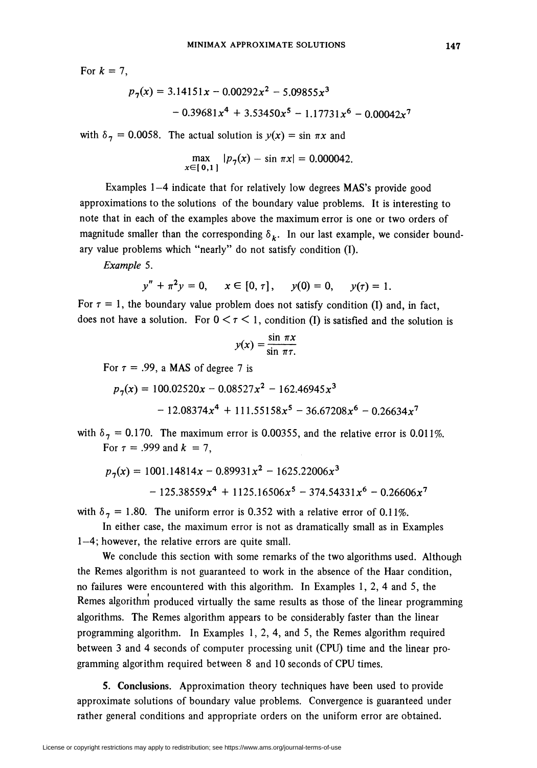For  $k = 7$ ,

$$
p_7(x) = 3.14151x - 0.00292x^2 - 5.09855x^3
$$
  
- 0.39681x<sup>4</sup> + 3.53450x<sup>5</sup> - 1.17731x<sup>6</sup> - 0.00042x<sup>7</sup>

with  $\delta_7 = 0.0058$ . The actual solution is  $y(x) = \sin \pi x$  and

$$
\max_{x \in [0,1]} |p_7(x) - \sin \pi x| = 0.000042
$$

Examples 1–4 indicate that for relatively low degrees MAS's provide good approximations to the solutions of the boundary value problems. It is interesting to note that in each of the examples above the maximum error is one or two orders of magnitude smaller than the corresponding  $\delta_k$ . In our last example, we consider boundary value problems which "nearly" do not satisfy condition (I).

Example 5.

$$
y'' + \pi^2 y = 0, \quad x \in [0, \tau], \quad y(0) = 0, \quad y(\tau) = 1.
$$

For  $\tau = 1$ , the boundary value problem does not satisfy condition (I) and, in fact, does not have a solution. For  $0 < r < 1$ , condition (I) is satisfied and the solution is

$$
y(x) = \frac{\sin \pi x}{\sin \pi \tau}
$$

For  $\tau = .99$ , a MAS of degree 7 is

$$
p_7(x) = 100.02520x - 0.08527x^2 - 162.46945x^3
$$
  
- 12.08374x<sup>4</sup> + 111.55158x<sup>5</sup> - 36.67208x<sup>6</sup> - 0.26634x<sup>7</sup>

with  $\delta_7 = 0.170$ . The maximum error is 0.00355, and the relative error is 0.011%. For  $\tau = .999$  and  $k = 7$ ,

$$
p_7(x) = 1001.14814x - 0.89931x^2 - 1625.22006x^3 - 125.38559x^4 + 1125.16506x^5 - 374.54331x^6 - 0.26606x^7
$$

with  $\delta_7 = 1.80$ . The uniform error is 0.352 with a relative error of 0.11%.

In either case, the maximum error is not as dramatically small as in Examples 1—4; however, the relative errors are quite small.

We conclude this section with some remarks of the two algorithms used. Although the Remes algorithm is not guaranteed to work in the absence of the Haar condition, no failures were encountered with this algorithm. In Examples 1, 2, 4 and 5, the Remes algorithm produced virtually the same results as those of the linear programming algorithms. The Remes algorithm appears to be considerably faster than the linear programming algorithm. In Examples 1, 2, 4, and 5, the Remes algorithm required between 3 and 4 seconds of computer processing unit (CPU) time and the linear programming algorithm required between 8 and 10 seconds of CPU times.

5. Conclusions. Approximation theory techniques have been used to provide approximate solutions of boundary value problems. Convergence is guaranteed under rather general conditions and appropriate orders on the uniform error are obtained.